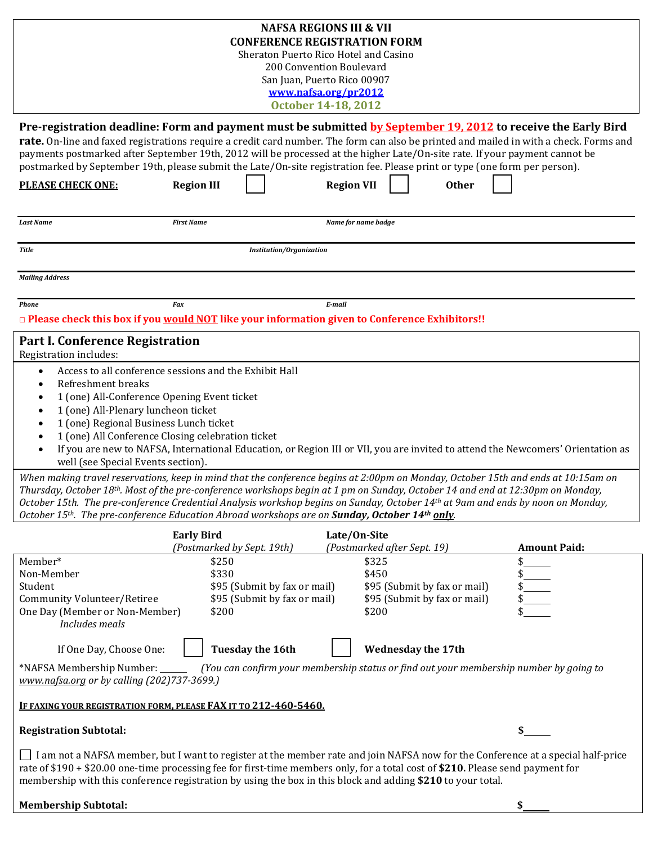|                                                                                                                                                                                                                                                                                                                                                                                                                                                                                                                      |                                                                                                                                                                                                                                                | <b>NAFSA REGIONS III &amp; VII</b><br><b>CONFERENCE REGISTRATION FORM</b><br>Sheraton Puerto Rico Hotel and Casino<br>200 Convention Boulevard<br>San Juan, Puerto Rico 00907<br>www.nafsa.org/pr2012<br><b>October 14-18, 2012</b> |                                                              |                     |
|----------------------------------------------------------------------------------------------------------------------------------------------------------------------------------------------------------------------------------------------------------------------------------------------------------------------------------------------------------------------------------------------------------------------------------------------------------------------------------------------------------------------|------------------------------------------------------------------------------------------------------------------------------------------------------------------------------------------------------------------------------------------------|-------------------------------------------------------------------------------------------------------------------------------------------------------------------------------------------------------------------------------------|--------------------------------------------------------------|---------------------|
| Pre-registration deadline: Form and payment must be submitted by September 19, 2012 to receive the Early Bird<br>rate. On-line and faxed registrations require a credit card number. The form can also be printed and mailed in with a check. Forms and<br>payments postmarked after September 19th, 2012 will be processed at the higher Late/On-site rate. If your payment cannot be<br>postmarked by September 19th, please submit the Late/On-site registration fee. Please print or type (one form per person). |                                                                                                                                                                                                                                                |                                                                                                                                                                                                                                     |                                                              |                     |
| <b>PLEASE CHECK ONE:</b>                                                                                                                                                                                                                                                                                                                                                                                                                                                                                             | <b>Region III</b>                                                                                                                                                                                                                              | <b>Region VII</b>                                                                                                                                                                                                                   | <b>Other</b>                                                 |                     |
| <b>Last Name</b>                                                                                                                                                                                                                                                                                                                                                                                                                                                                                                     | <b>First Name</b>                                                                                                                                                                                                                              | Name for name badge                                                                                                                                                                                                                 |                                                              |                     |
| <b>Title</b>                                                                                                                                                                                                                                                                                                                                                                                                                                                                                                         | Institution/Organization                                                                                                                                                                                                                       |                                                                                                                                                                                                                                     |                                                              |                     |
| <b>Mailing Address</b>                                                                                                                                                                                                                                                                                                                                                                                                                                                                                               |                                                                                                                                                                                                                                                |                                                                                                                                                                                                                                     |                                                              |                     |
| <b>Phone</b>                                                                                                                                                                                                                                                                                                                                                                                                                                                                                                         | <b>Fax</b>                                                                                                                                                                                                                                     | E-mail                                                                                                                                                                                                                              |                                                              |                     |
| $\Box$ Please check this box if you would NOT like your information given to Conference Exhibitors!!                                                                                                                                                                                                                                                                                                                                                                                                                 |                                                                                                                                                                                                                                                |                                                                                                                                                                                                                                     |                                                              |                     |
| Part I. Conference Registration                                                                                                                                                                                                                                                                                                                                                                                                                                                                                      |                                                                                                                                                                                                                                                |                                                                                                                                                                                                                                     |                                                              |                     |
| Registration includes:                                                                                                                                                                                                                                                                                                                                                                                                                                                                                               |                                                                                                                                                                                                                                                |                                                                                                                                                                                                                                     |                                                              |                     |
| $\bullet$<br>Refreshment breaks<br>1 (one) All-Conference Opening Event ticket<br>1 (one) All-Plenary luncheon ticket<br>1 (one) Regional Business Lunch ticket<br>$\bullet$<br>well (see Special Events section).<br>When making travel reservations, keep in mind that the conference begins at 2:00pm on Monday, October 15th and ends at 10:15am on<br>Thursday, October 18 <sup>th</sup> . Most of the pre-conference workshops begin at 1 pm on Sunday, October 14 and end at 12:30pm on Monday,               | Access to all conference sessions and the Exhibit Hall<br>1 (one) All Conference Closing celebration ticket<br>If you are new to NAFSA, International Education, or Region III or VII, you are invited to attend the Newcomers' Orientation as |                                                                                                                                                                                                                                     |                                                              |                     |
| October 15th. The pre-conference Credential Analysis workshop begins on Sunday, October 14th at 9am and ends by noon on Monday,<br>October 15th. The pre-conference Education Abroad workshops are on Sunday, October 14th only.                                                                                                                                                                                                                                                                                     |                                                                                                                                                                                                                                                |                                                                                                                                                                                                                                     |                                                              |                     |
|                                                                                                                                                                                                                                                                                                                                                                                                                                                                                                                      | <b>Early Bird</b>                                                                                                                                                                                                                              | Late/On-Site                                                                                                                                                                                                                        |                                                              |                     |
|                                                                                                                                                                                                                                                                                                                                                                                                                                                                                                                      | (Postmarked by Sept. 19th)                                                                                                                                                                                                                     | (Postmarked after Sept. 19)                                                                                                                                                                                                         |                                                              | <b>Amount Paid:</b> |
| Member*                                                                                                                                                                                                                                                                                                                                                                                                                                                                                                              | \$250                                                                                                                                                                                                                                          | \$325                                                                                                                                                                                                                               |                                                              |                     |
| Non-Member                                                                                                                                                                                                                                                                                                                                                                                                                                                                                                           | \$330                                                                                                                                                                                                                                          | \$450                                                                                                                                                                                                                               |                                                              |                     |
| Student<br>Community Volunteer/Retiree<br>One Day (Member or Non-Member)<br>Includes meals                                                                                                                                                                                                                                                                                                                                                                                                                           | \$95 (Submit by fax or mail)<br>\$95 (Submit by fax or mail)<br>\$200                                                                                                                                                                          | \$200                                                                                                                                                                                                                               | \$95 (Submit by fax or mail)<br>\$95 (Submit by fax or mail) |                     |
| If One Day, Choose One:                                                                                                                                                                                                                                                                                                                                                                                                                                                                                              | Tuesday the 16th                                                                                                                                                                                                                               |                                                                                                                                                                                                                                     | <b>Wednesday the 17th</b>                                    |                     |
| *NAFSA Membership Number:<br>www.nafsa.org or by calling (202)737-3699.)                                                                                                                                                                                                                                                                                                                                                                                                                                             | (You can confirm your membership status or find out your membership number by going to                                                                                                                                                         |                                                                                                                                                                                                                                     |                                                              |                     |
| <u>IF FAXING YOUR REGISTRATION FORM, PLEASE FAX IT TO 212-460-5460.</u>                                                                                                                                                                                                                                                                                                                                                                                                                                              |                                                                                                                                                                                                                                                |                                                                                                                                                                                                                                     |                                                              |                     |
| <b>Registration Subtotal:</b>                                                                                                                                                                                                                                                                                                                                                                                                                                                                                        |                                                                                                                                                                                                                                                |                                                                                                                                                                                                                                     |                                                              |                     |
| I am not a NAFSA member, but I want to register at the member rate and join NAFSA now for the Conference at a special half-price<br>rate of \$190 + \$20.00 one-time processing fee for first-time members only, for a total cost of \$210. Please send payment for<br>membership with this conference registration by using the box in this block and adding \$210 to your total.                                                                                                                                   |                                                                                                                                                                                                                                                |                                                                                                                                                                                                                                     |                                                              |                     |
| <b>Membership Subtotal:</b>                                                                                                                                                                                                                                                                                                                                                                                                                                                                                          |                                                                                                                                                                                                                                                |                                                                                                                                                                                                                                     |                                                              | \$                  |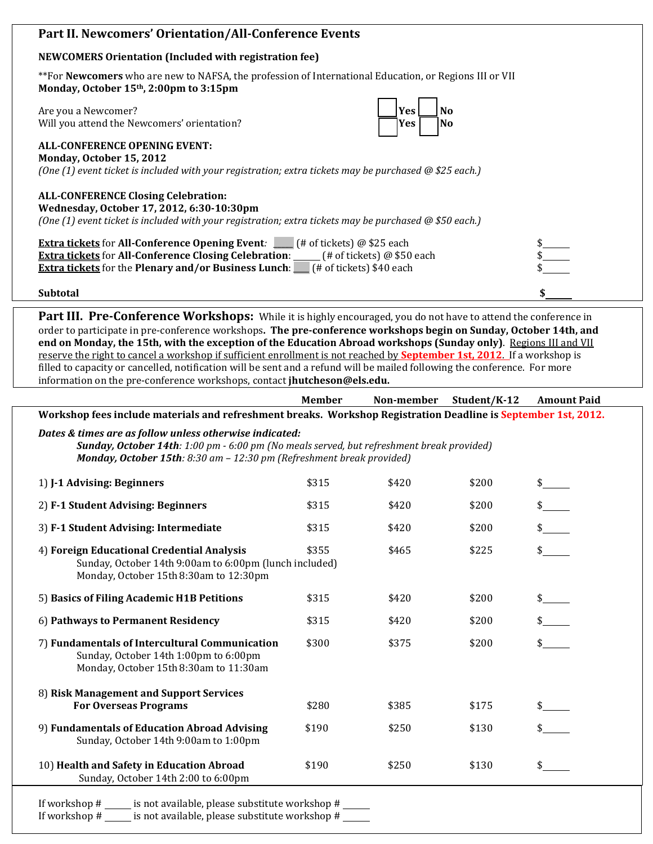## **Part II. Newcomers' Orientation/All-Conference Events**

## **NEWCOMERS Orientation (Included with registration fee)**

\*\*For **Newcomers** who are new to NAFSA, the profession of International Education, or Regions III or VII **Monday, October 15th, 2:00pm to 3:15pm**

Are you a Newcomer? Will you attend the Newcomers' orientation?

| Yes  | N  |
|------|----|
| lYes | IN |

**ALL-CONFERENCE OPENING EVENT: Monday, October 15, 2012** *(One (1) event ticket is included with your registration; extra tickets may be purchased @ \$25 each.)*

## **ALL-CONFERENCE Closing Celebration:**

**Wednesday, October 17, 2012, 6:30-10:30pm**

*(One (1) event ticket is included with your registration; extra tickets may be purchased @ \$50 each.)*

| $($ # of tickets) @ \$25 each<br><b>Extra tickets for All-Conference Opening Event:</b>      |  |
|----------------------------------------------------------------------------------------------|--|
| <b>Extra tickets for All-Conference Closing Celebration:</b><br>(# of tickets) $@$ \$50 each |  |
| <b>Extra tickets</b> for the Plenary and/or Business Lunch:<br>f# of tickets) \$40 each      |  |

**Subtotal \$** 

**Part III. Pre-Conference Workshops:** While it is highly encouraged, you do not have to attend the conference in order to participate in pre-conference workshops**. The pre-conference workshops begin on Sunday, October 14th, and end on Monday, the 15th, with the exception of the Education Abroad workshops (Sunday only)**. Regions III and VII reserve the right to cancel a workshop if sufficient enrollment is not reached by **September 1st, 2012**. If a workshop is filled to capacity or cancelled, notification will be sent and a refund will be mailed following the conference. For more information on the pre-conference workshops, contact **jhutcheson@els.edu.**

|                                                                                                                                                                                                                               | <b>Member</b> | Non-member | Student/K-12 | <b>Amount Paid</b> |  |
|-------------------------------------------------------------------------------------------------------------------------------------------------------------------------------------------------------------------------------|---------------|------------|--------------|--------------------|--|
| Workshop fees include materials and refreshment breaks. Workshop Registration Deadline is September 1st, 2012.                                                                                                                |               |            |              |                    |  |
| Dates & times are as follow unless otherwise indicated:<br>Sunday, October 14th: 1:00 pm - 6:00 pm (No meals served, but refreshment break provided)<br>Monday, October 15th: 8:30 am - 12:30 pm (Refreshment break provided) |               |            |              |                    |  |
| 1) J-1 Advising: Beginners                                                                                                                                                                                                    | \$315         | \$420      | \$200        |                    |  |
| 2) F-1 Student Advising: Beginners                                                                                                                                                                                            | \$315         | \$420      | \$200        | $\frac{1}{2}$      |  |
| 3) F-1 Student Advising: Intermediate                                                                                                                                                                                         | \$315         | \$420      | \$200        |                    |  |
| 4) Foreign Educational Credential Analysis<br>Sunday, October 14th 9:00am to 6:00pm (lunch included)<br>Monday, October 15th 8:30am to 12:30pm                                                                                | \$355         | \$465      | \$225        |                    |  |
| 5) Basics of Filing Academic H1B Petitions                                                                                                                                                                                    | \$315         | \$420      | \$200        |                    |  |
| 6) Pathways to Permanent Residency                                                                                                                                                                                            | \$315         | \$420      | \$200        |                    |  |
| 7) Fundamentals of Intercultural Communication<br>Sunday, October 14th 1:00pm to 6:00pm<br>Monday, October 15th 8:30am to 11:30am                                                                                             | \$300         | \$375      | \$200        |                    |  |
| 8) Risk Management and Support Services<br><b>For Overseas Programs</b>                                                                                                                                                       | \$280         | \$385      | \$175        |                    |  |
| 9) Fundamentals of Education Abroad Advising<br>Sunday, October 14th 9:00am to 1:00pm                                                                                                                                         | \$190         | \$250      | \$130        |                    |  |
| 10) Health and Safety in Education Abroad<br>Sunday, October 14th 2:00 to 6:00pm                                                                                                                                              | \$190         | \$250      | \$130        |                    |  |
| If workshop # ______ is not available, please substitute workshop # _____<br>If workshop # ______ is not available, please substitute workshop # _____                                                                        |               |            |              |                    |  |